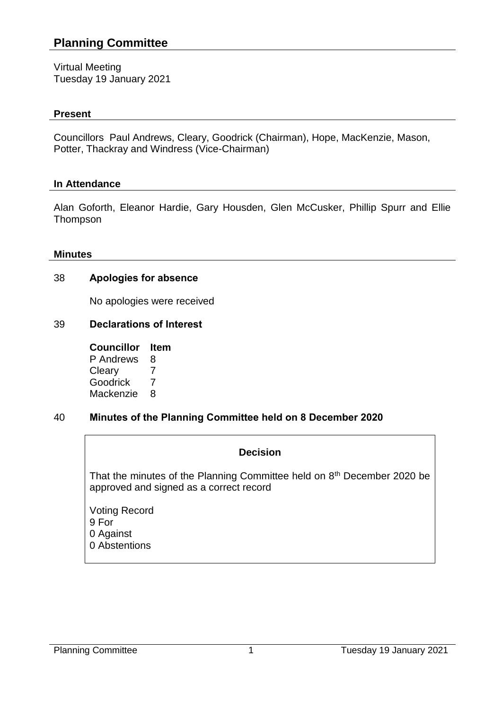# **Planning Committee**

Virtual Meeting Tuesday 19 January 2021

#### **Present**

Councillors Paul Andrews, Cleary, Goodrick (Chairman), Hope, MacKenzie, Mason, Potter, Thackray and Windress (Vice-Chairman)

#### **In Attendance**

Alan Goforth, Eleanor Hardie, Gary Housden, Glen McCusker, Phillip Spurr and Ellie Thompson

#### **Minutes**

#### 38 **Apologies for absence**

No apologies were received

#### 39 **Declarations of Interest**

| <b>Councillor</b> | ltem |
|-------------------|------|
| P Andrews         | 8    |
| Cleary            | 7    |
| Goodrick          | 7    |
| Mackenzie         | 8    |

## 40 **Minutes of the Planning Committee held on 8 December 2020**

#### **Decision**

That the minutes of the Planning Committee held on 8<sup>th</sup> December 2020 be approved and signed as a correct record

Voting Record 9 For 0 Against 0 Abstentions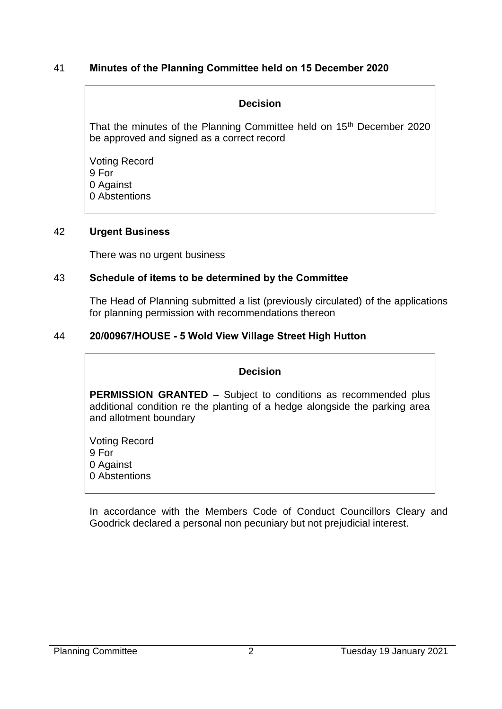## 41 **Minutes of the Planning Committee held on 15 December 2020**

## **Decision**

That the minutes of the Planning Committee held on 15<sup>th</sup> December 2020 be approved and signed as a correct record

Voting Record 9 For 0 Against 0 Abstentions

### 42 **Urgent Business**

There was no urgent business

## 43 **Schedule of items to be determined by the Committee**

The Head of Planning submitted a list (previously circulated) of the applications for planning permission with recommendations thereon

## 44 **20/00967/HOUSE - 5 Wold View Village Street High Hutton**

## **Decision**

**PERMISSION GRANTED** – Subject to conditions as recommended plus additional condition re the planting of a hedge alongside the parking area and allotment boundary

Voting Record 9 For 0 Against 0 Abstentions

In accordance with the Members Code of Conduct Councillors Cleary and Goodrick declared a personal non pecuniary but not prejudicial interest.